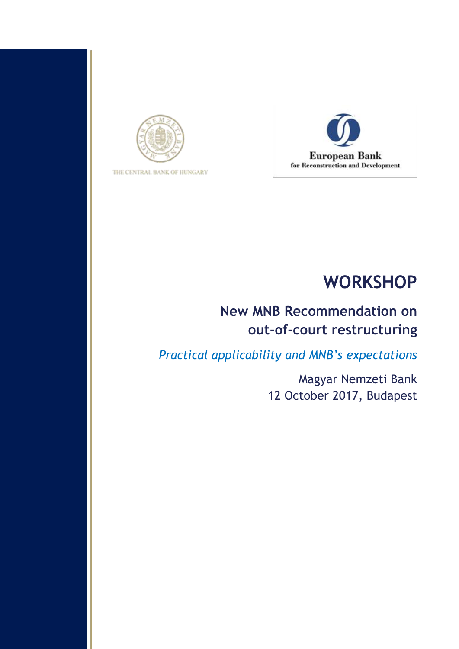

THE CENTRAL BANK OF HUNGARY



# **WORKSHOP**

# **New MNB Recommendation on out-of-court restructuring**

*Practical applicability and MNB's expectations* 

Magyar Nemzeti Bank 12 October 2017, Budapest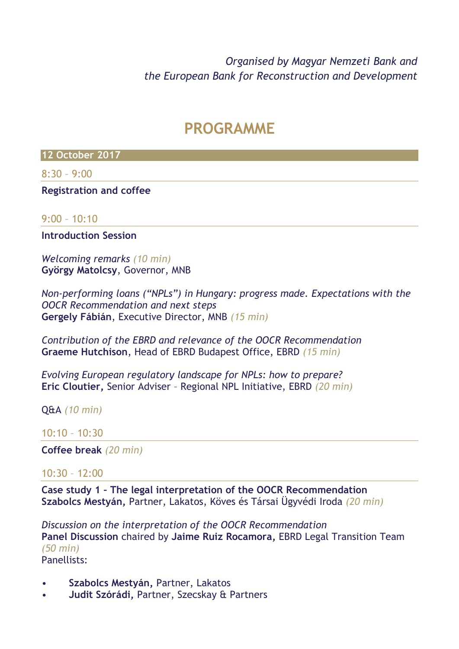*Organised by Magyar Nemzeti Bank and the European Bank for Reconstruction and Development*

# **PROGRAMME**

**12 October 2017**

8:30 – 9:00

**Registration and coffee**

#### $9:00 - 10:10$

**Introduction Session**

*Welcoming remarks (10 min)* **György Matolcsy**, Governor, MNB

*Non-performing loans ("NPLs") in Hungary: progress made. Expectations with the OOCR Recommendation and next steps* **Gergely Fábián**, Executive Director, MNB *(15 min)*

*Contribution of the EBRD and relevance of the OOCR Recommendation* **Graeme Hutchison**, Head of EBRD Budapest Office, EBRD *(15 min)*

*Evolving European regulatory landscape for NPLs: how to prepare?*  **Eric Cloutier,** Senior Adviser – Regional NPL Initiative, EBRD *(20 min)*

Q&A *(10 min)*

#### 10:10 – 10:30

**Coffee break** *(20 min)*

### $10:30 - 12:00$

**Case study 1 – The legal interpretation of the OOCR Recommendation Szabolcs Mestyán,** Partner, Lakatos, Köves és Társai Ügyvédi Iroda *(20 min)*

*Discussion on the interpretation of the OOCR Recommendation* **Panel Discussion** chaired by **Jaime Ruiz Rocamora,** EBRD Legal Transition Team *(50 min)* Panellists:

- **Szabolcs Mestyán,** Partner, Lakatos
- **Judit Szórádi,** Partner, Szecskay & Partners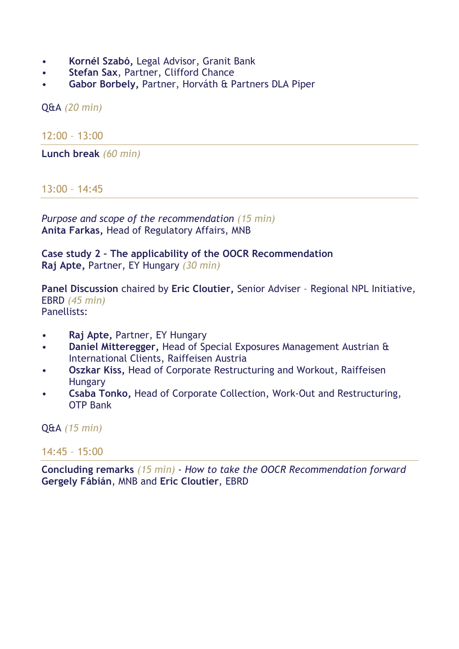- **Kornél Szabó,** Legal Advisor, Granit Bank
- **Stefan Sax**, Partner, Clifford Chance
- **Gabor Borbely,** Partner, Horváth & Partners DLA Piper

Q&A *(20 min)*

12:00 – 13:00

**Lunch break** *(60 min)*

### $13:00 - 14:45$

*Purpose and scope of the recommendation (15 min)* **Anita Farkas,** Head of Regulatory Affairs, MNB

**Case study 2 – The applicability of the OOCR Recommendation Raj Apte,** Partner, EY Hungary *(30 min)*

**Panel Discussion** chaired by **Eric Cloutier,** Senior Adviser – Regional NPL Initiative, EBRD *(45 min)* Panellists:

- **Raj Apte,** Partner, EY Hungary
- **Daniel Mitteregger,** Head of Special Exposures Management Austrian & International Clients, Raiffeisen Austria
- **Oszkar Kiss,** Head of Corporate Restructuring and Workout, Raiffeisen Hungary
- **Csaba Tonko,** Head of Corporate Collection, Work-Out and Restructuring, OTP Bank

Q&A *(15 min)*

#### 14:45 – 15:00

**Concluding remarks** *(15 min) - How to take the OOCR Recommendation forward* **Gergely Fábián**, MNB and **Eric Cloutier**, EBRD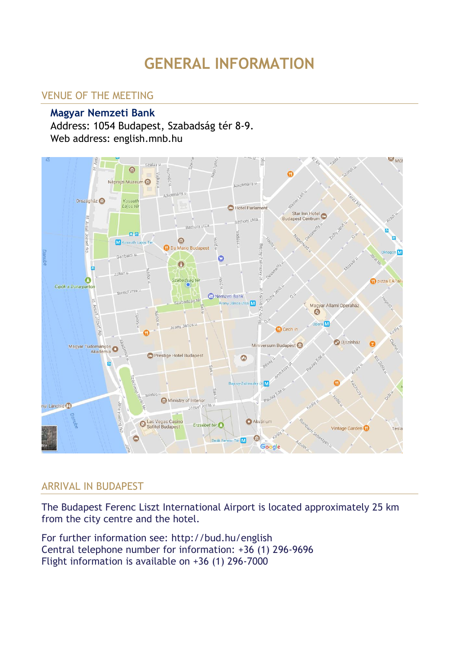# **GENERAL INFORMATION**

## VENUE OF THE MEETING

### **Magyar Nemzeti Bank**

Address: 1054 Budapest, Szabadság tér 8-9. Web address: [english.mnb.hu](file:///C:/Documents%20and%20Settings/Baloghs/Desktop/ECB-MNB%20joint%20conference/english.mnb.hu)



#### ARRIVAL IN BUDAPEST

The Budapest Ferenc Liszt International Airport is located approximately 25 km from the city centre and the hotel.

For further information see:<http://bud.hu/english> Central telephone number for information: +36 (1) 296-9696 [Flight information i](http://193.68.35.187/bp/eng/i_flightflightinfo_eng/)s available on +36 (1) 296-7000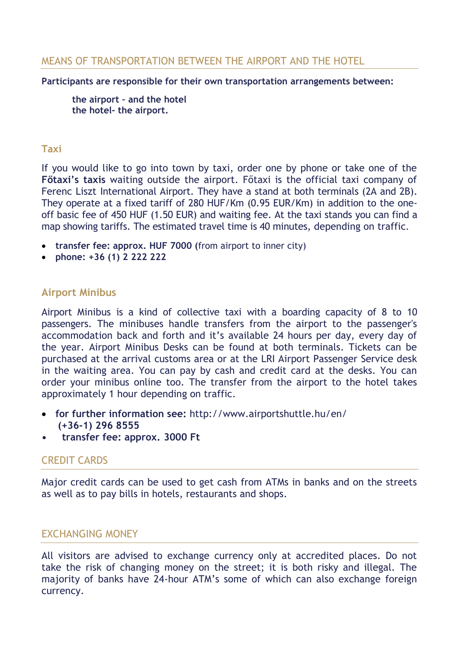#### MEANS OF TRANSPORTATION BETWEEN THE AIRPORT AND THE HOTEL

#### **Participants are responsible for their own transportation arrangements between:**

**the airport – and the hotel the hotel- the airport.** 

#### **Taxi**

If you would like to go into town by taxi, order one by phone or take one of the **Főtaxi's taxis** waiting outside the airport. Főtaxi is the official taxi company of Ferenc Liszt International Airport. They have a stand at both terminals (2A and 2B). They operate at a fixed tariff of 280 HUF/Km (0.95 EUR/Km) in addition to the oneoff basic fee of 450 HUF (1.50 EUR) and waiting fee. At the taxi stands you can find a map showing tariffs. The estimated travel time is 40 minutes, depending on traffic.

- **transfer fee: approx. HUF 7000 (**from airport to inner city)
- **phone: +36 (1) 2 222 222**

#### **Airport Minibus**

Airport Minibus is a kind of collective taxi with a boarding capacity of 8 to 10 passengers. The minibuses handle transfers from the airport to the passenger's accommodation back and forth and it's available 24 hours per day, every day of the year. Airport Minibus Desks can be found at both terminals. Tickets can be purchased at the arrival customs area or at the LRI Airport Passenger Service desk in the waiting area. You can pay by cash and credit card at the desks. You can order your minibus online too. The transfer from the airport to the hotel takes approximately 1 hour depending on traffic.

- **for further information see:** <http://www.airportshuttle.hu/en/> **(+36-1) 296 8555**
- **transfer fee: approx. 3000 Ft**

#### CREDIT CARDS

Major credit cards can be used to get cash from ATMs in banks and on the streets as well as to pay bills in hotels, restaurants and shops.

#### EXCHANGING MONEY

All visitors are advised to exchange currency only at accredited places. Do not take the risk of changing money on the street; it is both risky and illegal. The majority of banks have 24-hour ATM's some of which can also exchange foreign currency.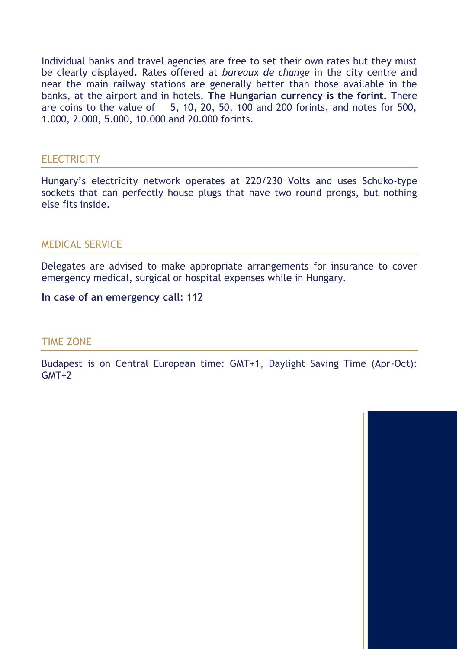Individual banks and travel agencies are free to set their own rates but they must be clearly displayed. Rates offered at *bureaux de change* in the city centre and near the main railway stations are generally better than those available in the banks, at the airport and in hotels. **The Hungarian currency is the forint.** There are coins to the value of 5, 10, 20, 50, 100 and 200 forints, and notes for 500, 1.000, 2.000, 5.000, 10.000 and 20.000 forints.

#### **ELECTRICITY**

Hungary's electricity network operates at 220/230 Volts and uses Schuko-type sockets that can perfectly house plugs that have two round prongs, but nothing else fits inside.

#### MEDICAL SERVICE

Delegates are advised to make appropriate arrangements for insurance to cover emergency medical, surgical or hospital expenses while in Hungary.

**In case of an emergency call:** 112

#### TIME ZONE

Budapest is on Central European time: GMT+1, Daylight Saving Time (Apr-Oct): GMT+2